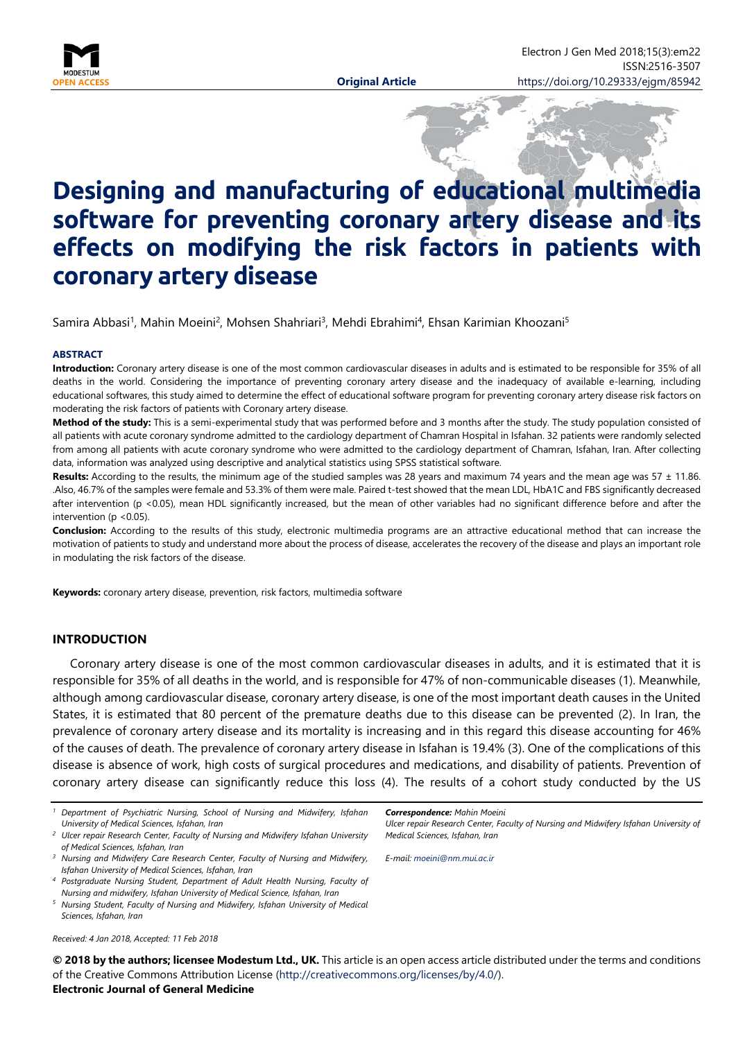

# **Designing and manufacturing of educational multimedia software for preventing coronary artery disease and its effects on modifying the risk factors in patients with coronary artery disease**

Samira Abbasi<sup>1</sup>, Mahin Moeini<sup>2</sup>, Mohsen Shahriari<sup>3</sup>, Mehdi Ebrahimi<sup>4</sup>, Ehsan Karimian Khoozani<sup>5</sup>

#### **ABSTRACT**

**Introduction:** Coronary artery disease is one of the most common cardiovascular diseases in adults and is estimated to be responsible for 35% of all deaths in the world. Considering the importance of preventing coronary artery disease and the inadequacy of available e-learning, including educational softwares, this study aimed to determine the effect of educational software program for preventing coronary artery disease risk factors on moderating the risk factors of patients with Coronary artery disease.

**Method of the study:** This is a semi-experimental study that was performed before and 3 months after the study. The study population consisted of all patients with acute coronary syndrome admitted to the cardiology department of Chamran Hospital in Isfahan. 32 patients were randomly selected from among all patients with acute coronary syndrome who were admitted to the cardiology department of Chamran, Isfahan, Iran. After collecting data, information was analyzed using descriptive and analytical statistics using SPSS statistical software.

Results: According to the results, the minimum age of the studied samples was 28 years and maximum 74 years and the mean age was 57 ± 11.86. .Also, 46.7% of the samples were female and 53.3% of them were male. Paired t-test showed that the mean LDL, HbA1C and FBS significantly decreased after intervention (p <0.05), mean HDL significantly increased, but the mean of other variables had no significant difference before and after the intervention ( $p$  < 0.05).

**Conclusion:** According to the results of this study, electronic multimedia programs are an attractive educational method that can increase the motivation of patients to study and understand more about the process of disease, accelerates the recovery of the disease and plays an important role in modulating the risk factors of the disease.

**Keywords:** coronary artery disease, prevention, risk factors, multimedia software

### **INTRODUCTION**

Coronary artery disease is one of the most common cardiovascular diseases in adults, and it is estimated that it is responsible for 35% of all deaths in the world, and is responsible for 47% of non-communicable diseases (1). Meanwhile, although among cardiovascular disease, coronary artery disease, is one of the most important death causes in the United States, it is estimated that 80 percent of the premature deaths due to this disease can be prevented (2). In Iran, the prevalence of coronary artery disease and its mortality is increasing and in this regard this disease accounting for 46% of the causes of death. The prevalence of coronary artery disease in Isfahan is 19.4% (3). One of the complications of this disease is absence of work, high costs of surgical procedures and medications, and disability of patients. Prevention of coronary artery disease can significantly reduce this loss (4). The results of a cohort study conducted by the US

- *<sup>1</sup> Department of Psychiatric Nursing, School of Nursing and Midwifery, Isfahan University of Medical Sciences, Isfahan, Iran*
- *<sup>2</sup> Ulcer repair Research Center, Faculty of Nursing and Midwifery Isfahan University of Medical Sciences, Isfahan, Iran*
- *<sup>3</sup> Nursing and Midwifery Care Research Center, Faculty of Nursing and Midwifery, Isfahan University of Medical Sciences, Isfahan, Iran*
- *<sup>4</sup> Postgraduate Nursing Student, Department of Adult Health Nursing, Faculty of Nursing and midwifery, Isfahan University of Medical Science, Isfahan, Iran*
- *<sup>5</sup> Nursing Student, Faculty of Nursing and Midwifery, Isfahan University of Medical Sciences, Isfahan, Iran*

*Received: 4 Jan 2018, Accepted: 11 Feb 2018*

*Correspondence: Mahin Moeini*

*Ulcer repair Research Center, Faculty of Nursing and Midwifery Isfahan University of Medical Sciences, Isfahan, Iran*

*E-mail: [moeini@nm.mui.ac.ir](mailto:moeini@nm.mui.ac.ir)*

**© 2018 by the authors; licensee Modestum Ltd., UK.** This article is an open access article distributed under the terms and conditions of the Creative Commons Attribution License [\(http://creativecommons.org/licenses/by/4.0/\)](http://creativecommons.org/licenses/by/4.0/). **Electronic Journal of General Medicine**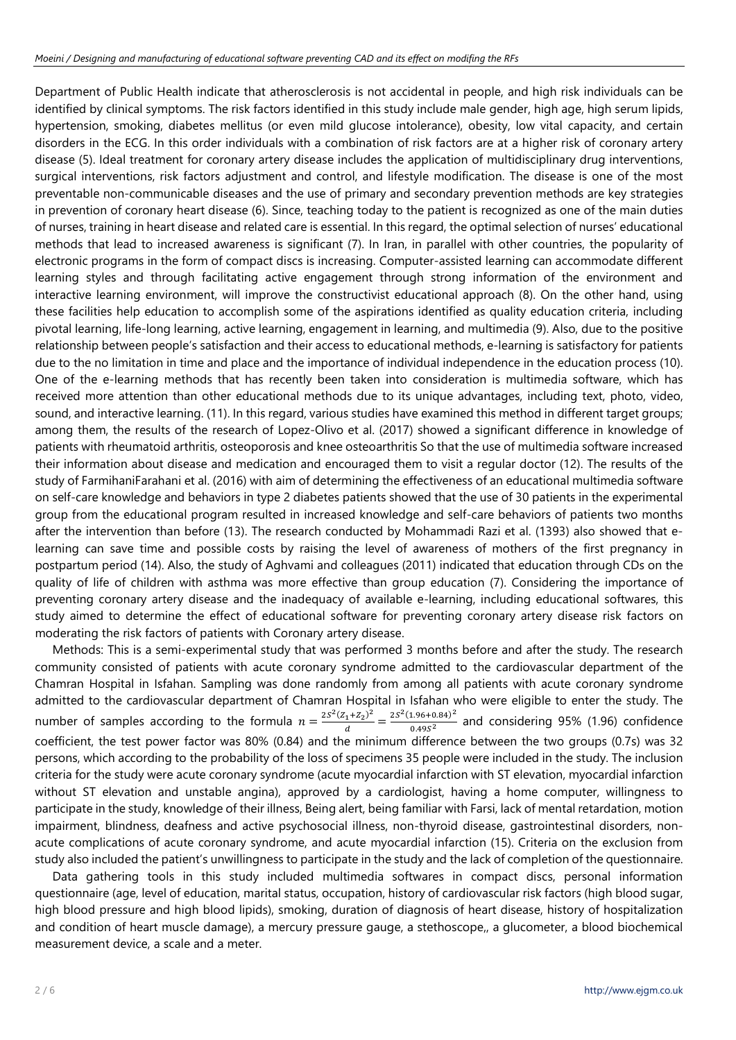Department of Public Health indicate that atherosclerosis is not accidental in people, and high risk individuals can be identified by clinical symptoms. The risk factors identified in this study include male gender, high age, high serum lipids, hypertension, smoking, diabetes mellitus (or even mild glucose intolerance), obesity, low vital capacity, and certain disorders in the ECG. In this order individuals with a combination of risk factors are at a higher risk of coronary artery disease (5). Ideal treatment for coronary artery disease includes the application of multidisciplinary drug interventions, surgical interventions, risk factors adjustment and control, and lifestyle modification. The disease is one of the most preventable non-communicable diseases and the use of primary and secondary prevention methods are key strategies in prevention of coronary heart disease (6). Since, teaching today to the patient is recognized as one of the main duties of nurses, training in heart disease and related care is essential. In this regard, the optimal selection of nurses' educational methods that lead to increased awareness is significant (7). In Iran, in parallel with other countries, the popularity of electronic programs in the form of compact discs is increasing. Computer-assisted learning can accommodate different learning styles and through facilitating active engagement through strong information of the environment and interactive learning environment, will improve the constructivist educational approach (8). On the other hand, using these facilities help education to accomplish some of the aspirations identified as quality education criteria, including pivotal learning, life-long learning, active learning, engagement in learning, and multimedia (9). Also, due to the positive relationship between people's satisfaction and their access to educational methods, e-learning is satisfactory for patients due to the no limitation in time and place and the importance of individual independence in the education process (10). One of the e-learning methods that has recently been taken into consideration is multimedia software, which has received more attention than other educational methods due to its unique advantages, including text, photo, video, sound, and interactive learning. (11). In this regard, various studies have examined this method in different target groups; among them, the results of the research of Lopez-Olivo et al. (2017) showed a significant difference in knowledge of patients with rheumatoid arthritis, osteoporosis and knee osteoarthritis So that the use of multimedia software increased their information about disease and medication and encouraged them to visit a regular doctor (12). The results of the study of FarmihaniFarahani et al. (2016) with aim of determining the effectiveness of an educational multimedia software on self-care knowledge and behaviors in type 2 diabetes patients showed that the use of 30 patients in the experimental group from the educational program resulted in increased knowledge and self-care behaviors of patients two months after the intervention than before (13). The research conducted by Mohammadi Razi et al. (1393) also showed that elearning can save time and possible costs by raising the level of awareness of mothers of the first pregnancy in postpartum period (14). Also, the study of Aghvami and colleagues (2011) indicated that education through CDs on the quality of life of children with asthma was more effective than group education (7). Considering the importance of preventing coronary artery disease and the inadequacy of available e-learning, including educational softwares, this study aimed to determine the effect of educational software for preventing coronary artery disease risk factors on moderating the risk factors of patients with Coronary artery disease.

Methods: This is a semi-experimental study that was performed 3 months before and after the study. The research community consisted of patients with acute coronary syndrome admitted to the cardiovascular department of the Chamran Hospital in Isfahan. Sampling was done randomly from among all patients with acute coronary syndrome admitted to the cardiovascular department of Chamran Hospital in Isfahan who were eligible to enter the study. The number of samples according to the formula  $n=\frac{2S^2(Z_1+Z_2)^2}{d}=\frac{2S^2(1.96+0.84)^2}{0.49S^2}$  and considering 95% (1.96) confidence coefficient, the test power factor was 80% (0.84) and the minimum difference between the two groups (0.7s) was 32 persons, which according to the probability of the loss of specimens 35 people were included in the study. The inclusion criteria for the study were acute coronary syndrome (acute myocardial infarction with ST elevation, myocardial infarction without ST elevation and unstable angina), approved by a cardiologist, having a home computer, willingness to participate in the study, knowledge of their illness, Being alert, being familiar with Farsi, lack of mental retardation, motion impairment, blindness, deafness and active psychosocial illness, non-thyroid disease, gastrointestinal disorders, nonacute complications of acute coronary syndrome, and acute myocardial infarction (15). Criteria on the exclusion from study also included the patient's unwillingness to participate in the study and the lack of completion of the questionnaire.

Data gathering tools in this study included multimedia softwares in compact discs, personal information questionnaire (age, level of education, marital status, occupation, history of cardiovascular risk factors (high blood sugar, high blood pressure and high blood lipids), smoking, duration of diagnosis of heart disease, history of hospitalization and condition of heart muscle damage), a mercury pressure gauge, a stethoscope,, a glucometer, a blood biochemical measurement device, a scale and a meter.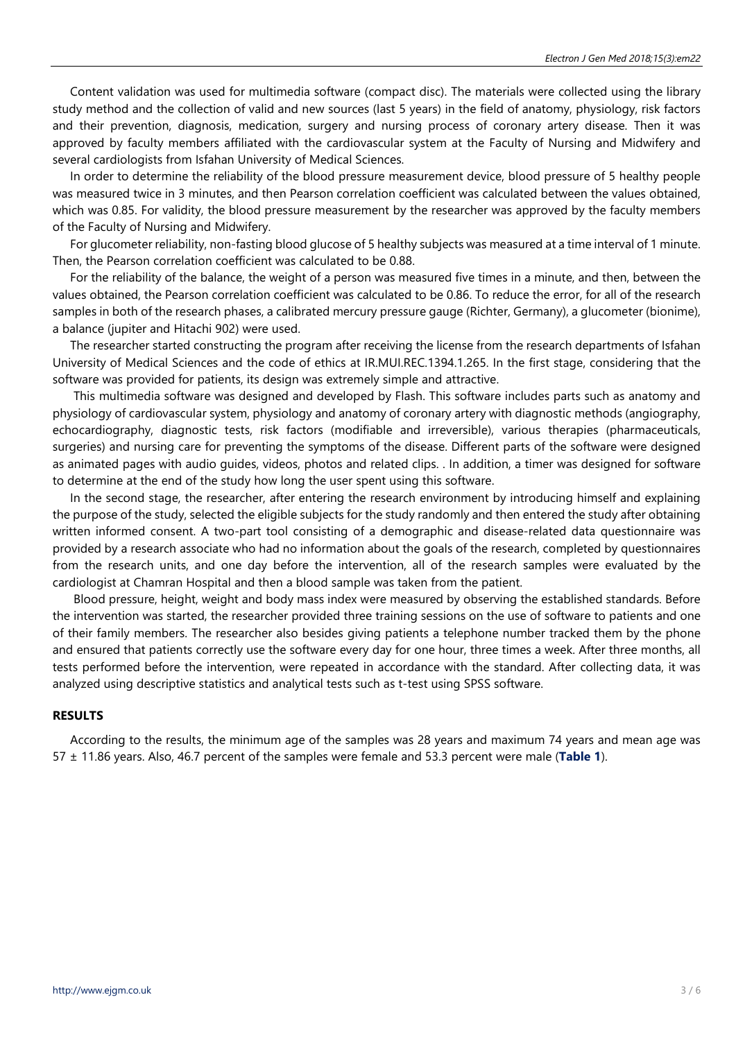Content validation was used for multimedia software (compact disc). The materials were collected using the library study method and the collection of valid and new sources (last 5 years) in the field of anatomy, physiology, risk factors and their prevention, diagnosis, medication, surgery and nursing process of coronary artery disease. Then it was approved by faculty members affiliated with the cardiovascular system at the Faculty of Nursing and Midwifery and several cardiologists from Isfahan University of Medical Sciences.

In order to determine the reliability of the blood pressure measurement device, blood pressure of 5 healthy people was measured twice in 3 minutes, and then Pearson correlation coefficient was calculated between the values obtained, which was 0.85. For validity, the blood pressure measurement by the researcher was approved by the faculty members of the Faculty of Nursing and Midwifery.

For glucometer reliability, non-fasting blood glucose of 5 healthy subjects was measured at a time interval of 1 minute. Then, the Pearson correlation coefficient was calculated to be 0.88.

For the reliability of the balance, the weight of a person was measured five times in a minute, and then, between the values obtained, the Pearson correlation coefficient was calculated to be 0.86. To reduce the error, for all of the research samples in both of the research phases, a calibrated mercury pressure gauge (Richter, Germany), a glucometer (bionime), a balance (jupiter and Hitachi 902) were used.

The researcher started constructing the program after receiving the license from the research departments of Isfahan University of Medical Sciences and the code of ethics at IR.MUI.REC.1394.1.265. In the first stage, considering that the software was provided for patients, its design was extremely simple and attractive.

This multimedia software was designed and developed by Flash. This software includes parts such as anatomy and physiology of cardiovascular system, physiology and anatomy of coronary artery with diagnostic methods (angiography, echocardiography, diagnostic tests, risk factors (modifiable and irreversible), various therapies (pharmaceuticals, surgeries) and nursing care for preventing the symptoms of the disease. Different parts of the software were designed as animated pages with audio guides, videos, photos and related clips. . In addition, a timer was designed for software to determine at the end of the study how long the user spent using this software.

In the second stage, the researcher, after entering the research environment by introducing himself and explaining the purpose of the study, selected the eligible subjects for the study randomly and then entered the study after obtaining written informed consent. A two-part tool consisting of a demographic and disease-related data questionnaire was provided by a research associate who had no information about the goals of the research, completed by questionnaires from the research units, and one day before the intervention, all of the research samples were evaluated by the cardiologist at Chamran Hospital and then a blood sample was taken from the patient.

Blood pressure, height, weight and body mass index were measured by observing the established standards. Before the intervention was started, the researcher provided three training sessions on the use of software to patients and one of their family members. The researcher also besides giving patients a telephone number tracked them by the phone and ensured that patients correctly use the software every day for one hour, three times a week. After three months, all tests performed before the intervention, were repeated in accordance with the standard. After collecting data, it was analyzed using descriptive statistics and analytical tests such as t-test using SPSS software.

#### **RESULTS**

According to the results, the minimum age of the samples was 28 years and maximum 74 years and mean age was 57 ± 11.86 years. Also, 46.7 percent of the samples were female and 53.3 percent were male (**Table 1**).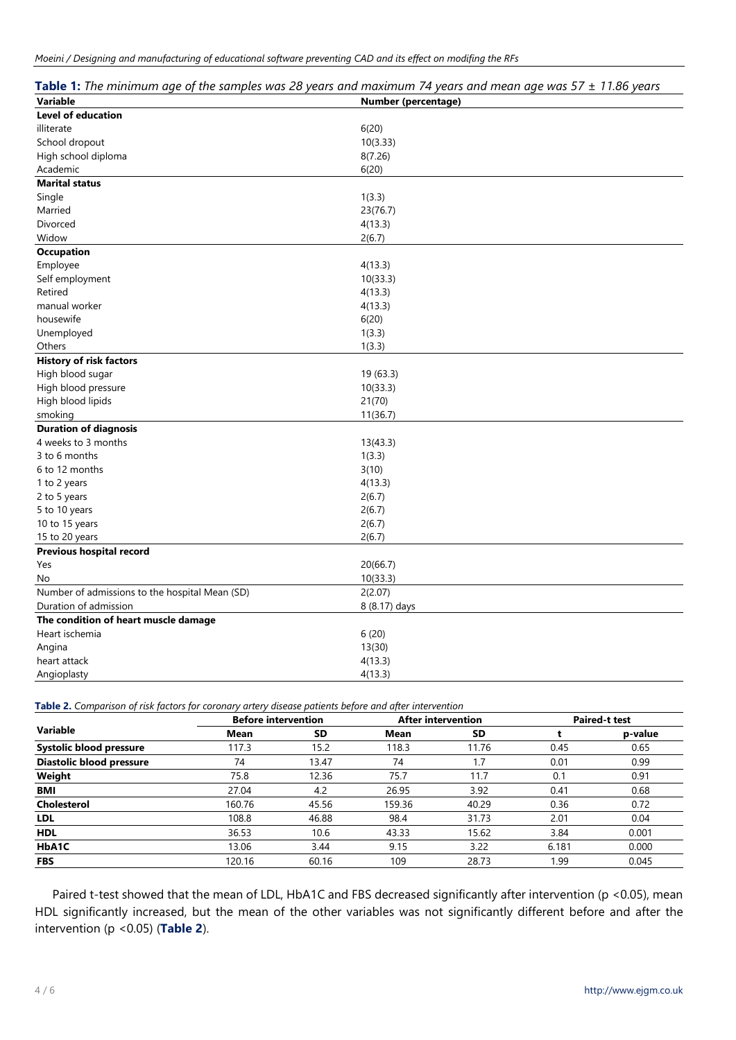| <b>Variable</b>                                | Number (percentage) |
|------------------------------------------------|---------------------|
| <b>Level of education</b>                      |                     |
| illiterate                                     | 6(20)               |
| School dropout                                 | 10(3.33)            |
| High school diploma                            | 8(7.26)             |
| Academic                                       | 6(20)               |
| <b>Marital status</b>                          |                     |
| Single                                         | 1(3.3)              |
| Married                                        | 23(76.7)            |
| Divorced                                       | 4(13.3)             |
| Widow                                          | 2(6.7)              |
| <b>Occupation</b>                              |                     |
| Employee                                       | 4(13.3)             |
| Self employment                                | 10(33.3)            |
| Retired                                        | 4(13.3)             |
| manual worker                                  | 4(13.3)             |
| housewife                                      | 6(20)               |
| Unemployed                                     | 1(3.3)              |
| Others                                         | 1(3.3)              |
| <b>History of risk factors</b>                 |                     |
| High blood sugar                               | 19 (63.3)           |
| High blood pressure                            | 10(33.3)            |
| High blood lipids                              | 21(70)              |
| smoking                                        | 11(36.7)            |
| <b>Duration of diagnosis</b>                   |                     |
| 4 weeks to 3 months                            | 13(43.3)            |
| 3 to 6 months                                  | 1(3.3)              |
| 6 to 12 months                                 | 3(10)               |
| 1 to 2 years                                   | 4(13.3)             |
| 2 to 5 years                                   | 2(6.7)              |
| 5 to 10 years                                  | 2(6.7)              |
| 10 to 15 years                                 | 2(6.7)              |
| 15 to 20 years                                 | 2(6.7)              |
| Previous hospital record                       |                     |
| Yes                                            | 20(66.7)            |
| No                                             | 10(33.3)            |
| Number of admissions to the hospital Mean (SD) | 2(2.07)             |
| Duration of admission                          | 8 (8.17) days       |
| The condition of heart muscle damage           |                     |
| Heart ischemia                                 | 6(20)               |
| Angina                                         | 13(30)              |
| heart attack                                   | 4(13.3)             |
| Angioplasty                                    | 4(13.3)             |

**Table 2.** *Comparison of risk factors for coronary artery disease patients before and after intervention*

| <b>Variable</b>                | <b>Before intervention</b> |       | <b>After intervention</b> |           | <b>Paired-t test</b> |         |
|--------------------------------|----------------------------|-------|---------------------------|-----------|----------------------|---------|
|                                | <b>Mean</b>                | SD    | <b>Mean</b>               | <b>SD</b> |                      | p-value |
| <b>Systolic blood pressure</b> | 117.3                      | 15.2  | 118.3                     | 11.76     | 0.45                 | 0.65    |
| Diastolic blood pressure       | 74                         | 13.47 | 74                        | 1.7       | 0.01                 | 0.99    |
| Weight                         | 75.8                       | 12.36 | 75.7                      | 11.7      | 0.1                  | 0.91    |
| BMI                            | 27.04                      | 4.2   | 26.95                     | 3.92      | 0.41                 | 0.68    |
| <b>Cholesterol</b>             | 160.76                     | 45.56 | 159.36                    | 40.29     | 0.36                 | 0.72    |
| <b>LDL</b>                     | 108.8                      | 46.88 | 98.4                      | 31.73     | 2.01                 | 0.04    |
| <b>HDL</b>                     | 36.53                      | 10.6  | 43.33                     | 15.62     | 3.84                 | 0.001   |
| HbA1C                          | 13.06                      | 3.44  | 9.15                      | 3.22      | 6.181                | 0.000   |
| <b>FBS</b>                     | 120.16                     | 60.16 | 109                       | 28.73     | 1.99                 | 0.045   |

Paired t-test showed that the mean of LDL, HbA1C and FBS decreased significantly after intervention (p <0.05), mean HDL significantly increased, but the mean of the other variables was not significantly different before and after the intervention (p <0.05) (**Table 2**).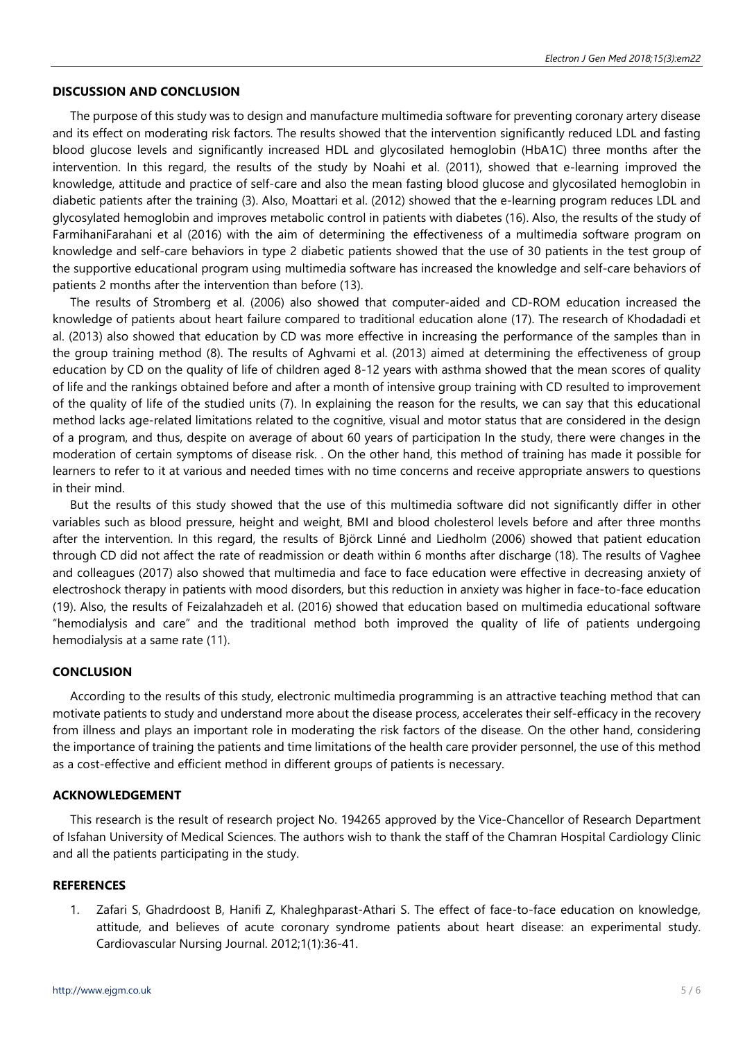## **DISCUSSION AND CONCLUSION**

The purpose of this study was to design and manufacture multimedia software for preventing coronary artery disease and its effect on moderating risk factors. The results showed that the intervention significantly reduced LDL and fasting blood glucose levels and significantly increased HDL and glycosilated hemoglobin (HbA1C) three months after the intervention. In this regard, the results of the study by Noahi et al. (2011), showed that e-learning improved the knowledge, attitude and practice of self-care and also the mean fasting blood glucose and glycosilated hemoglobin in diabetic patients after the training (3). Also, Moattari et al. (2012) showed that the e-learning program reduces LDL and glycosylated hemoglobin and improves metabolic control in patients with diabetes (16). Also, the results of the study of FarmihaniFarahani et al (2016) with the aim of determining the effectiveness of a multimedia software program on knowledge and self-care behaviors in type 2 diabetic patients showed that the use of 30 patients in the test group of the supportive educational program using multimedia software has increased the knowledge and self-care behaviors of patients 2 months after the intervention than before (13).

The results of Stromberg et al. (2006) also showed that computer-aided and CD-ROM education increased the knowledge of patients about heart failure compared to traditional education alone (17). The research of Khodadadi et al. (2013) also showed that education by CD was more effective in increasing the performance of the samples than in the group training method (8). The results of Aghvami et al. (2013) aimed at determining the effectiveness of group education by CD on the quality of life of children aged 8-12 years with asthma showed that the mean scores of quality of life and the rankings obtained before and after a month of intensive group training with CD resulted to improvement of the quality of life of the studied units (7). In explaining the reason for the results, we can say that this educational method lacks age-related limitations related to the cognitive, visual and motor status that are considered in the design of a program, and thus, despite on average of about 60 years of participation In the study, there were changes in the moderation of certain symptoms of disease risk. . On the other hand, this method of training has made it possible for learners to refer to it at various and needed times with no time concerns and receive appropriate answers to questions in their mind.

But the results of this study showed that the use of this multimedia software did not significantly differ in other variables such as blood pressure, height and weight, BMI and blood cholesterol levels before and after three months after the intervention. In this regard, the results of Björck Linné and Liedholm (2006) showed that patient education through CD did not affect the rate of readmission or death within 6 months after discharge (18). The results of Vaghee and colleagues (2017) also showed that multimedia and face to face education were effective in decreasing anxiety of electroshock therapy in patients with mood disorders, but this reduction in anxiety was higher in face-to-face education (19). Also, the results of Feizalahzadeh et al. (2016) showed that education based on multimedia educational software "hemodialysis and care" and the traditional method both improved the quality of life of patients undergoing hemodialysis at a same rate (11).

# **CONCLUSION**

According to the results of this study, electronic multimedia programming is an attractive teaching method that can motivate patients to study and understand more about the disease process, accelerates their self-efficacy in the recovery from illness and plays an important role in moderating the risk factors of the disease. On the other hand, considering the importance of training the patients and time limitations of the health care provider personnel, the use of this method as a cost-effective and efficient method in different groups of patients is necessary.

# **ACKNOWLEDGEMENT**

This research is the result of research project No. 194265 approved by the Vice-Chancellor of Research Department of Isfahan University of Medical Sciences. The authors wish to thank the staff of the Chamran Hospital Cardiology Clinic and all the patients participating in the study.

## **REFERENCES**

1. Zafari S, Ghadrdoost B, Hanifi Z, Khaleghparast-Athari S. The effect of face-to-face education on knowledge, attitude, and believes of acute coronary syndrome patients about heart disease: an experimental study. Cardiovascular Nursing Journal. 2012;1(1):36-41.